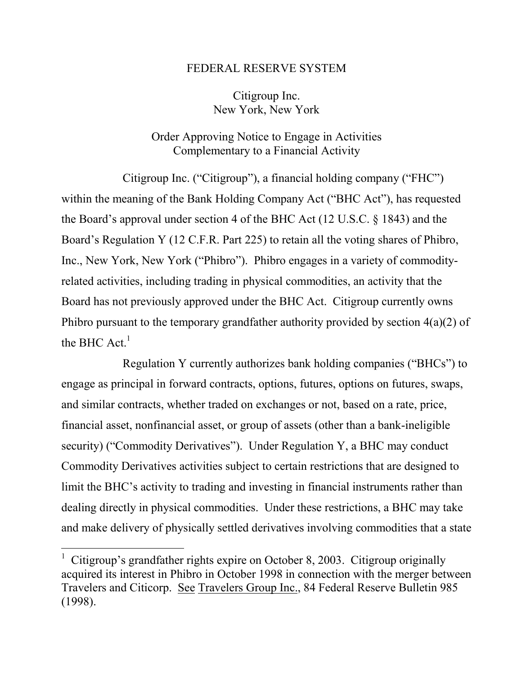## FEDERAL RESERVE SYSTEM

Citigroup Inc. New York, New York

## Order Approving Notice to Engage in Activities Complementary to a Financial Activity

Citigroup Inc. ("Citigroup"), a financial holding company ("FHC") within the meaning of the Bank Holding Company Act ("BHC Act"), has requested the Board's approval under section 4 of the BHC Act (12 U.S.C. § 1843) and the Board's Regulation Y (12 C.F.R. Part 225) to retain all the voting shares of Phibro, Inc., New York, New York ("Phibro"). Phibro engages in a variety of commodityrelated activities, including trading in physical commodities, an activity that the Board has not previously approved under the BHC Act. Citigroup currently owns Phibro pursuant to the temporary grandfather authority provided by section 4(a)(2) of the BHC  $Act<sup>1</sup>$ 

Regulation Y currently authorizes bank holding companies ("BHCs") to engage as principal in forward contracts, options, futures, options on futures, swaps, and similar contracts, whether traded on exchanges or not, based on a rate, price, financial asset, nonfinancial asset, or group of assets (other than a bank-ineligible security) ("Commodity Derivatives"). Under Regulation Y, a BHC may conduct Commodity Derivatives activities subject to certain restrictions that are designed to limit the BHC's activity to trading and investing in financial instruments rather than dealing directly in physical commodities. Under these restrictions, a BHC may take and make delivery of physically settled derivatives involving commodities that a state

 $\overline{a}$ 

<sup>1</sup> Citigroup's grandfather rights expire on October 8, 2003. Citigroup originally acquired its interest in Phibro in October 1998 in connection with the merger between Travelers and Citicorp. See Travelers Group Inc., 84 Federal Reserve Bulletin 985 (1998).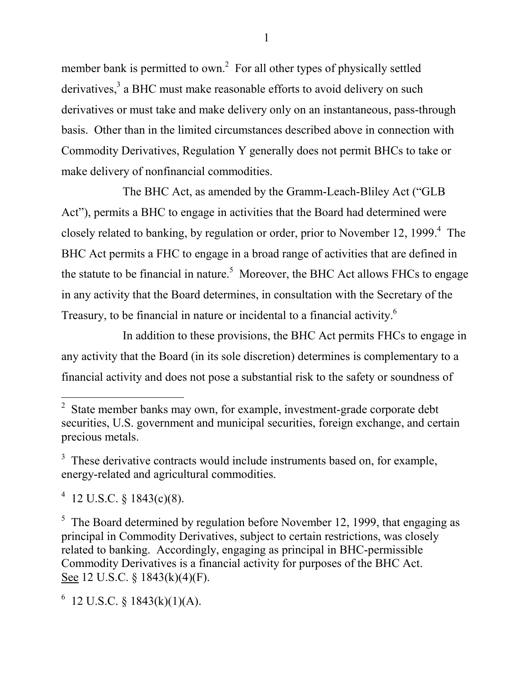member bank is permitted to own.<sup>2</sup> For all other types of physically settled derivatives,<sup>3</sup> a BHC must make reasonable efforts to avoid delivery on such derivatives or must take and make delivery only on an instantaneous, pass-through basis. Other than in the limited circumstances described above in connection with Commodity Derivatives, Regulation Y generally does not permit BHCs to take or make delivery of nonfinancial commodities.

The BHC Act, as amended by the Gramm-Leach-Bliley Act ("GLB Act"), permits a BHC to engage in activities that the Board had determined were closely related to banking, by regulation or order, prior to November 12, 1999.<sup>4</sup> The BHC Act permits a FHC to engage in a broad range of activities that are defined in the statute to be financial in nature.<sup>5</sup> Moreover, the BHC Act allows FHCs to engage in any activity that the Board determines, in consultation with the Secretary of the Treasury, to be financial in nature or incidental to a financial activity.<sup>6</sup>

In addition to these provisions, the BHC Act permits FHCs to engage in any activity that the Board (in its sole discretion) determines is complementary to a financial activity and does not pose a substantial risk to the safety or soundness of

<sup>4</sup> 12 U.S.C. § 1843(c)(8).

 $\overline{a}$ 

 $5$  The Board determined by regulation before November 12, 1999, that engaging as principal in Commodity Derivatives, subject to certain restrictions, was closely related to banking. Accordingly, engaging as principal in BHC-permissible Commodity Derivatives is a financial activity for purposes of the BHC Act. See 12 U.S.C. § 1843(k)(4)(F).

 $6$  12 U.S.C. § 1843(k)(1)(A).

 $2<sup>2</sup>$  State member banks may own, for example, investment-grade corporate debt securities, U.S. government and municipal securities, foreign exchange, and certain precious metals.

 $3$  These derivative contracts would include instruments based on, for example, energy-related and agricultural commodities.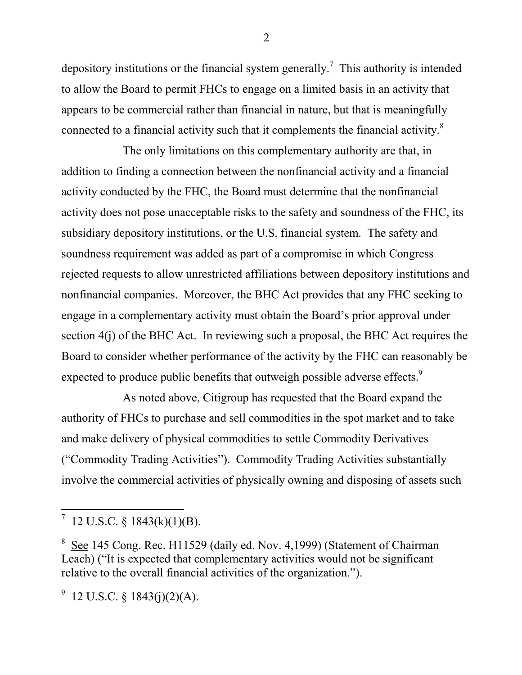depository institutions or the financial system generally.<sup>7</sup> This authority is intended to allow the Board to permit FHCs to engage on a limited basis in an activity that appears to be commercial rather than financial in nature, but that is meaningfully connected to a financial activity such that it complements the financial activity.<sup>8</sup>

The only limitations on this complementary authority are that, in addition to finding a connection between the nonfinancial activity and a financial activity conducted by the FHC, the Board must determine that the nonfinancial activity does not pose unacceptable risks to the safety and soundness of the FHC, its subsidiary depository institutions, or the U.S. financial system. The safety and soundness requirement was added as part of a compromise in which Congress rejected requests to allow unrestricted affiliations between depository institutions and nonfinancial companies. Moreover, the BHC Act provides that any FHC seeking to engage in a complementary activity must obtain the Board's prior approval under section 4(j) of the BHC Act. In reviewing such a proposal, the BHC Act requires the Board to consider whether performance of the activity by the FHC can reasonably be expected to produce public benefits that outweigh possible adverse effects.<sup>9</sup>

As noted above, Citigroup has requested that the Board expand the authority of FHCs to purchase and sell commodities in the spot market and to take and make delivery of physical commodities to settle Commodity Derivatives ("Commodity Trading Activities"). Commodity Trading Activities substantially involve the commercial activities of physically owning and disposing of assets such

 $\overline{a}$ 

 $^7$  12 U.S.C. § 1843(k)(1)(B).

<sup>&</sup>lt;sup>8</sup> See 145 Cong. Rec. H11529 (daily ed. Nov. 4,1999) (Statement of Chairman Leach) ("It is expected that complementary activities would not be significant relative to the overall financial activities of the organization.").

 $9\,$  12 U.S.C. § 1843(j)(2)(A).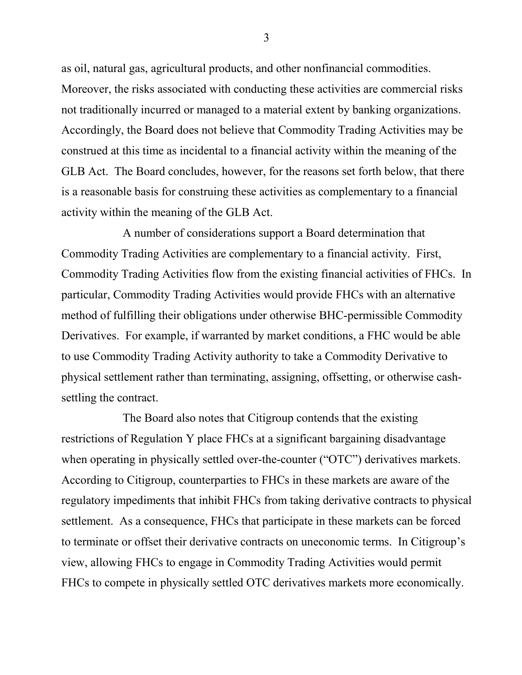as oil, natural gas, agricultural products, and other nonfinancial commodities. Moreover, the risks associated with conducting these activities are commercial risks not traditionally incurred or managed to a material extent by banking organizations. Accordingly, the Board does not believe that Commodity Trading Activities may be construed at this time as incidental to a financial activity within the meaning of the GLB Act. The Board concludes, however, for the reasons set forth below, that there is a reasonable basis for construing these activities as complementary to a financial activity within the meaning of the GLB Act.

A number of considerations support a Board determination that Commodity Trading Activities are complementary to a financial activity. First, Commodity Trading Activities flow from the existing financial activities of FHCs. In particular, Commodity Trading Activities would provide FHCs with an alternative method of fulfilling their obligations under otherwise BHC-permissible Commodity Derivatives. For example, if warranted by market conditions, a FHC would be able to use Commodity Trading Activity authority to take a Commodity Derivative to physical settlement rather than terminating, assigning, offsetting, or otherwise cashsettling the contract.

The Board also notes that Citigroup contends that the existing restrictions of Regulation Y place FHCs at a significant bargaining disadvantage when operating in physically settled over-the-counter ("OTC") derivatives markets. According to Citigroup, counterparties to FHCs in these markets are aware of the regulatory impediments that inhibit FHCs from taking derivative contracts to physical settlement. As a consequence, FHCs that participate in these markets can be forced to terminate or offset their derivative contracts on uneconomic terms. In Citigroup's view, allowing FHCs to engage in Commodity Trading Activities would permit FHCs to compete in physically settled OTC derivatives markets more economically.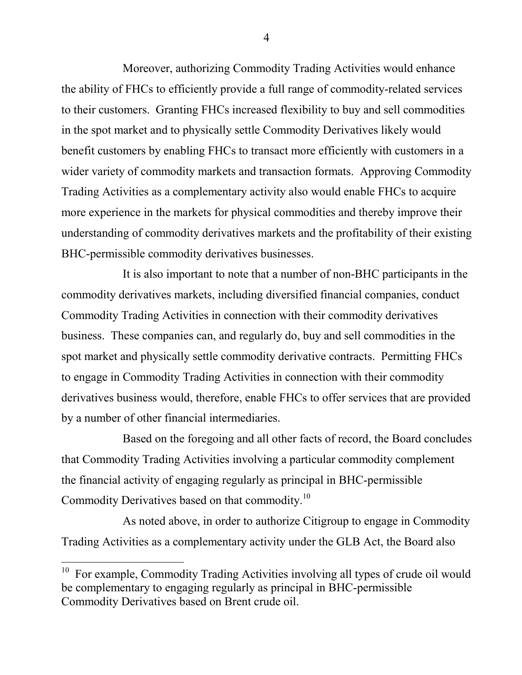Moreover, authorizing Commodity Trading Activities would enhance the ability of FHCs to efficiently provide a full range of commodity-related services to their customers. Granting FHCs increased flexibility to buy and sell commodities in the spot market and to physically settle Commodity Derivatives likely would benefit customers by enabling FHCs to transact more efficiently with customers in a wider variety of commodity markets and transaction formats. Approving Commodity Trading Activities as a complementary activity also would enable FHCs to acquire more experience in the markets for physical commodities and thereby improve their understanding of commodity derivatives markets and the profitability of their existing BHC-permissible commodity derivatives businesses.

It is also important to note that a number of non-BHC participants in the commodity derivatives markets, including diversified financial companies, conduct Commodity Trading Activities in connection with their commodity derivatives business. These companies can, and regularly do, buy and sell commodities in the spot market and physically settle commodity derivative contracts. Permitting FHCs to engage in Commodity Trading Activities in connection with their commodity derivatives business would, therefore, enable FHCs to offer services that are provided by a number of other financial intermediaries.

Based on the foregoing and all other facts of record, the Board concludes that Commodity Trading Activities involving a particular commodity complement the financial activity of engaging regularly as principal in BHC-permissible Commodity Derivatives based on that commodity.10

As noted above, in order to authorize Citigroup to engage in Commodity Trading Activities as a complementary activity under the GLB Act, the Board also

 $\overline{a}$ 

 $10$  For example, Commodity Trading Activities involving all types of crude oil would be complementary to engaging regularly as principal in BHC-permissible Commodity Derivatives based on Brent crude oil.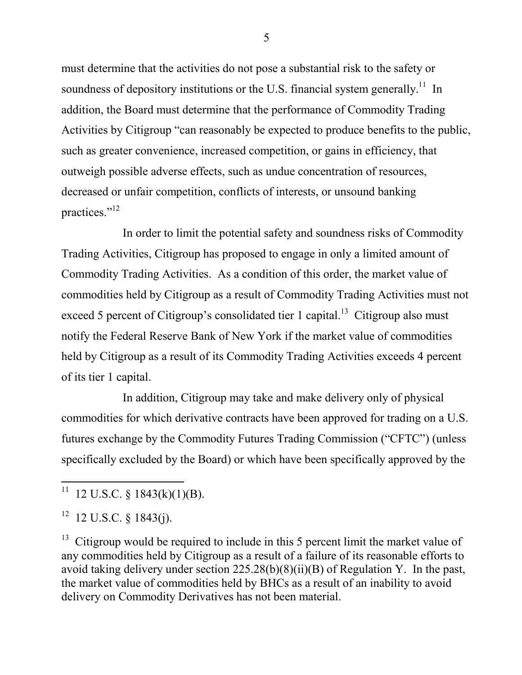must determine that the activities do not pose a substantial risk to the safety or soundness of depository institutions or the U.S. financial system generally.<sup>11</sup> In addition, the Board must determine that the performance of Commodity Trading Activities by Citigroup "can reasonably be expected to produce benefits to the public, such as greater convenience, increased competition, or gains in efficiency, that outweigh possible adverse effects, such as undue concentration of resources, decreased or unfair competition, conflicts of interests, or unsound banking practices."12

In order to limit the potential safety and soundness risks of Commodity Trading Activities, Citigroup has proposed to engage in only a limited amount of Commodity Trading Activities. As a condition of this order, the market value of commodities held by Citigroup as a result of Commodity Trading Activities must not exceed 5 percent of Citigroup's consolidated tier 1 capital.<sup>13</sup> Citigroup also must notify the Federal Reserve Bank of New York if the market value of commodities held by Citigroup as a result of its Commodity Trading Activities exceeds 4 percent of its tier 1 capital.

In addition, Citigroup may take and make delivery only of physical commodities for which derivative contracts have been approved for trading on a U.S. futures exchange by the Commodity Futures Trading Commission ("CFTC") (unless specifically excluded by the Board) or which have been specifically approved by the

 $\overline{a}$ 

 $13$  Citigroup would be required to include in this 5 percent limit the market value of any commodities held by Citigroup as a result of a failure of its reasonable efforts to avoid taking delivery under section 225.28(b)(8)(ii)(B) of Regulation Y. In the past, the market value of commodities held by BHCs as a result of an inability to avoid delivery on Commodity Derivatives has not been material.

<sup>&</sup>lt;sup>11</sup> 12 U.S.C. § 1843(k)(1)(B).

 $12 \text{ U.S.C. }$  § 1843(j).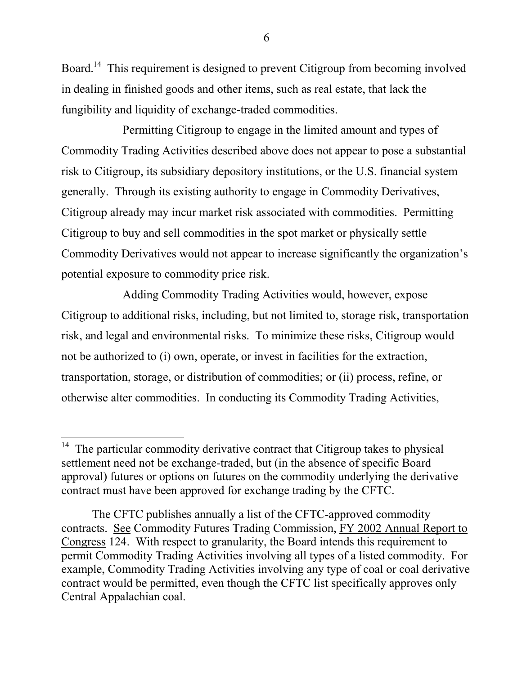Board.<sup>14</sup> This requirement is designed to prevent Citigroup from becoming involved in dealing in finished goods and other items, such as real estate, that lack the fungibility and liquidity of exchange-traded commodities.

Permitting Citigroup to engage in the limited amount and types of Commodity Trading Activities described above does not appear to pose a substantial risk to Citigroup, its subsidiary depository institutions, or the U.S. financial system generally. Through its existing authority to engage in Commodity Derivatives, Citigroup already may incur market risk associated with commodities. Permitting Citigroup to buy and sell commodities in the spot market or physically settle Commodity Derivatives would not appear to increase significantly the organization's potential exposure to commodity price risk.

Adding Commodity Trading Activities would, however, expose Citigroup to additional risks, including, but not limited to, storage risk, transportation risk, and legal and environmental risks. To minimize these risks, Citigroup would not be authorized to (i) own, operate, or invest in facilities for the extraction, transportation, storage, or distribution of commodities; or (ii) process, refine, or otherwise alter commodities. In conducting its Commodity Trading Activities,

 $\overline{a}$ 

 $14$  The particular commodity derivative contract that Citigroup takes to physical settlement need not be exchange-traded, but (in the absence of specific Board approval) futures or options on futures on the commodity underlying the derivative contract must have been approved for exchange trading by the CFTC.

The CFTC publishes annually a list of the CFTC-approved commodity contracts. See Commodity Futures Trading Commission, FY 2002 Annual Report to Congress 124. With respect to granularity, the Board intends this requirement to permit Commodity Trading Activities involving all types of a listed commodity. For example, Commodity Trading Activities involving any type of coal or coal derivative contract would be permitted, even though the CFTC list specifically approves only Central Appalachian coal.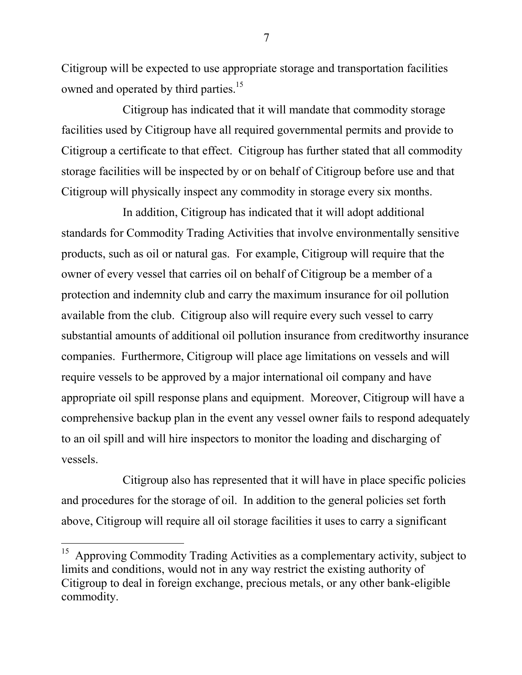Citigroup will be expected to use appropriate storage and transportation facilities owned and operated by third parties.<sup>15</sup>

Citigroup has indicated that it will mandate that commodity storage facilities used by Citigroup have all required governmental permits and provide to Citigroup a certificate to that effect. Citigroup has further stated that all commodity storage facilities will be inspected by or on behalf of Citigroup before use and that Citigroup will physically inspect any commodity in storage every six months.

In addition, Citigroup has indicated that it will adopt additional standards for Commodity Trading Activities that involve environmentally sensitive products, such as oil or natural gas. For example, Citigroup will require that the owner of every vessel that carries oil on behalf of Citigroup be a member of a protection and indemnity club and carry the maximum insurance for oil pollution available from the club. Citigroup also will require every such vessel to carry substantial amounts of additional oil pollution insurance from creditworthy insurance companies. Furthermore, Citigroup will place age limitations on vessels and will require vessels to be approved by a major international oil company and have appropriate oil spill response plans and equipment. Moreover, Citigroup will have a comprehensive backup plan in the event any vessel owner fails to respond adequately to an oil spill and will hire inspectors to monitor the loading and discharging of vessels.

Citigroup also has represented that it will have in place specific policies and procedures for the storage of oil. In addition to the general policies set forth above, Citigroup will require all oil storage facilities it uses to carry a significant

 $\overline{a}$ 

 $15$  Approving Commodity Trading Activities as a complementary activity, subject to limits and conditions, would not in any way restrict the existing authority of Citigroup to deal in foreign exchange, precious metals, or any other bank-eligible commodity.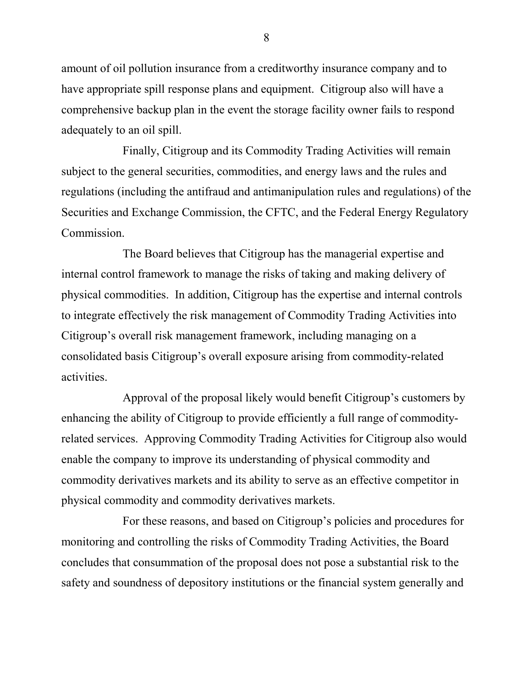amount of oil pollution insurance from a creditworthy insurance company and to have appropriate spill response plans and equipment. Citigroup also will have a comprehensive backup plan in the event the storage facility owner fails to respond adequately to an oil spill.

Finally, Citigroup and its Commodity Trading Activities will remain subject to the general securities, commodities, and energy laws and the rules and regulations (including the antifraud and antimanipulation rules and regulations) of the Securities and Exchange Commission, the CFTC, and the Federal Energy Regulatory Commission.

The Board believes that Citigroup has the managerial expertise and internal control framework to manage the risks of taking and making delivery of physical commodities. In addition, Citigroup has the expertise and internal controls to integrate effectively the risk management of Commodity Trading Activities into Citigroup's overall risk management framework, including managing on a consolidated basis Citigroup's overall exposure arising from commodity-related activities.

Approval of the proposal likely would benefit Citigroup's customers by enhancing the ability of Citigroup to provide efficiently a full range of commodityrelated services. Approving Commodity Trading Activities for Citigroup also would enable the company to improve its understanding of physical commodity and commodity derivatives markets and its ability to serve as an effective competitor in physical commodity and commodity derivatives markets.

For these reasons, and based on Citigroup's policies and procedures for monitoring and controlling the risks of Commodity Trading Activities, the Board concludes that consummation of the proposal does not pose a substantial risk to the safety and soundness of depository institutions or the financial system generally and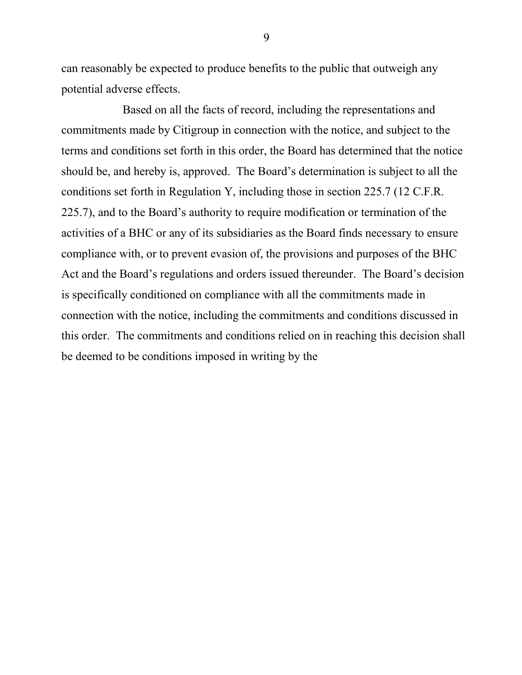can reasonably be expected to produce benefits to the public that outweigh any potential adverse effects.

Based on all the facts of record, including the representations and commitments made by Citigroup in connection with the notice, and subject to the terms and conditions set forth in this order, the Board has determined that the notice should be, and hereby is, approved. The Board's determination is subject to all the conditions set forth in Regulation Y, including those in section 225.7 (12 C.F.R. 225.7), and to the Board's authority to require modification or termination of the activities of a BHC or any of its subsidiaries as the Board finds necessary to ensure compliance with, or to prevent evasion of, the provisions and purposes of the BHC Act and the Board's regulations and orders issued thereunder. The Board's decision is specifically conditioned on compliance with all the commitments made in connection with the notice, including the commitments and conditions discussed in this order. The commitments and conditions relied on in reaching this decision shall be deemed to be conditions imposed in writing by the